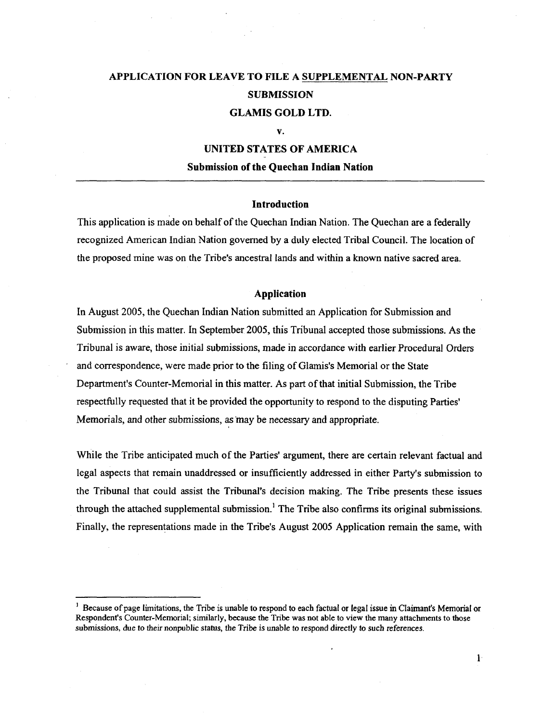# **APPLICATION FOR LEAVE TO FILE A SUPPLEMENTAL NON-PARTY SUBMISSION GLAMIS GOLD LTD.**

#### **v.**

## **UNITED STATES OF AMERICA**

#### **Submission of the Quechan Indian Nation**

### **Introduction**

This application is made on behalf of the Quechan Indian Nation. The Quechan are a federally recognized American Indian Nation governed by a duly elected Tribal Council. The location of the proposed mine was on the Tribe's ancestral lands and within a known native sacred area.

#### **Application**

In August 2005, the Quechan Indian Nation submitted an Application for Submission and Submission in this matter. In September 2005, this Tribunal accepted those submissions. As the Tribunal is aware, those initial submissions, made in accordance with earlier Procedural Orders and correspondence, were made prior to the filing of Glamis's Memorial or the State Department's Counter-Memorial in this matter. As part of that initial Submission, the Tribe respectfully requested that it be provided the opportunity to respond to the disputing Parties' Memorials, and other submissions, as 'may be necessary and appropriate.

While the Tribe anticipated much of the Parties' argument, there are certain relevant factual and legal aspects that remain unaddressed or insufficiently addressed in either Party's submission to the Tribunal that could assist the Tribunal's decision making. The Tribe presents these issues through the attached supplemental submission.<sup>1</sup> The Tribe also confirms its original submissions. Finally, the representations made in the Tribe's August 2005 Application remain the same, with

1

J. Because of page limitations, the Tribe is unable to respond to each factual or legal issue in Claimant's Memorial or Respondent's Counter-Memorial; similarly, because the Tribe was not able to view the many attachments to those submissions, due to their nonpublic status, the Tribe is unable to respond directly to such references.